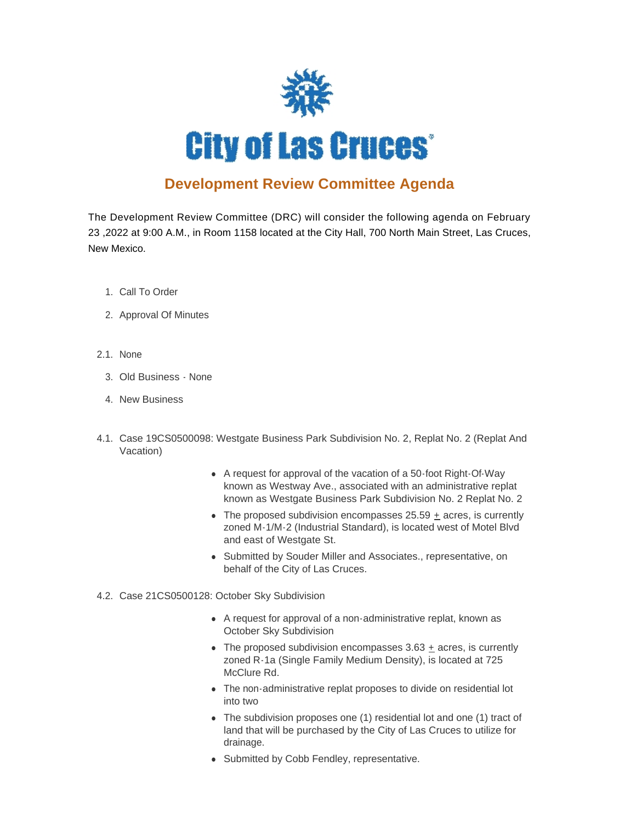

## **Development Review Committee Agenda**

The Development Review Committee (DRC) will consider the following agenda on February 23 ,2022 at 9:00 A.M., in Room 1158 located at the City Hall, 700 North Main Street, Las Cruces, New Mexico.

- 1. Call To Order
- 2. Approval Of Minutes
- 2.1. None
	- Old Business None 3.
	- 4. New Business
- 4.1. Case 19CS0500098: Westgate Business Park Subdivision No. 2, Replat No. 2 (Replat And Vacation)
	- A request for approval of the vacation of a 50-foot Right-Of-Way known as Westway Ave., associated with an administrative replat known as Westgate Business Park Subdivision No. 2 Replat No. 2
	- The proposed subdivision encompasses  $25.59 \pm \text{acres}$ , is currently zoned M-1/M-2 (Industrial Standard), is located west of Motel Blvd and east of Westgate St.
	- Submitted by Souder Miller and Associates., representative, on behalf of the City of Las Cruces.
- 4.2. Case 21CS0500128: October Sky Subdivision
	- A request for approval of a non-administrative replat, known as October Sky Subdivision
	- $\bullet$  The proposed subdivision encompasses 3.63 + acres, is currently zoned R-1a (Single Family Medium Density), is located at 725 McClure Rd.
	- The non-administrative replat proposes to divide on residential lot into two
	- The subdivision proposes one (1) residential lot and one (1) tract of land that will be purchased by the City of Las Cruces to utilize for drainage.
	- Submitted by Cobb Fendley, representative.